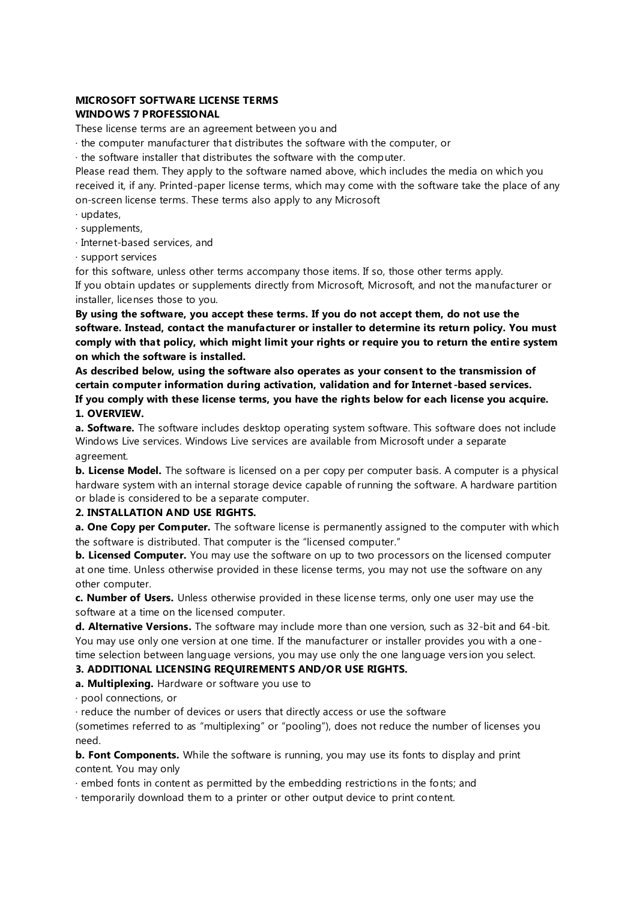# **MICROSOFT SOFTWARE LICENSE TERMS WINDOWS 7 PROFESSIONAL**

These license terms are an agreement between you and

· the computer manufacturer that distributes the software with the computer, or

· the software installer that distributes the software with the computer.

Please read them. They apply to the software named above, which includes the media on which you received it, if any. Printed-paper license terms, which may come with the software take the place of any on-screen license terms. These terms also apply to any Microsoft

· updates,

- · supplements,
- · Internet-based services, and
- · support services

for this software, unless other terms accompany those items. If so, those other terms apply. If you obtain updates or supplements directly from Microsoft, Microsoft, and not the manufacturer or installer, licenses those to you.

**By using the software, you accept these terms. If you do not accept them, do not use the software. Instead, contact the manufacturer or installer to determine its return policy. You must comply with that policy, which might limit your rights or require you to return the entire system on which the software is installed.** 

**As described below, using the software also operates as your consent to the transmission of certain computer information during activation, validation and for Internet -based services. If you comply with these license terms, you have the rights below for each license you acquire.** 

## **1. OVERVIEW.**

**a. Software.** The software includes desktop operating system software. This software does not include Windows Live services. Windows Live services are available from Microsoft under a separate agreement.

**b. License Model.** The software is licensed on a per copy per computer basis. A computer is a physical hardware system with an internal storage device capable of running the software. A hardware partition or blade is considered to be a separate computer.

### **2. INSTALLATION AND USE RIGHTS.**

**a. One Copy per Computer.** The software license is permanently assigned to the computer with which the software is distributed. That computer is the "licensed computer."

**b. Licensed Computer.** You may use the software on up to two processors on the licensed computer at one time. Unless otherwise provided in these license terms, you may not use the software on any other computer.

**c. Number of Users.** Unless otherwise provided in these license terms, only one user may use the software at a time on the licensed computer.

**d. Alternative Versions.** The software may include more than one version, such as 32-bit and 64-bit. You may use only one version at one time. If the manufacturer or installer provides you with a one time selection between language versions, you may use only the one language vers ion you select.

### **3. ADDITIONAL LICENSING REQUIREMENTS AND/OR USE RIGHTS.**

**a. Multiplexing.** Hardware or software you use to

· pool connections, or

· reduce the number of devices or users that directly access or use the software

(sometimes referred to as "multiplexing" or "pooling"), does not reduce the number of licenses you need.

**b. Font Components.** While the software is running, you may use its fonts to display and print content. You may only

· embed fonts in content as permitted by the embedding restrictions in the fonts; and

· temporarily download them to a printer or other output device to print content.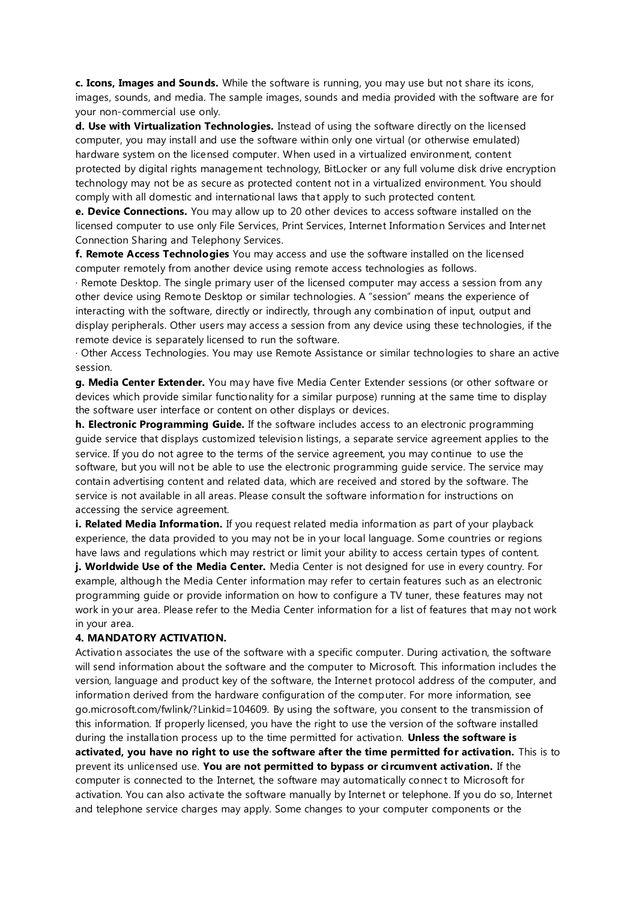**c. Icons, Images and Sounds.** While the software is running, you may use but not share its icons, images, sounds, and media. The sample images, sounds and media provided with the software are for your non-commercial use only.

**d. Use with Virtualization Technologies.** Instead of using the software directly on the licensed computer, you may install and use the software within only one virtual (or otherwise emulated) hardware system on the licensed computer. When used in a virtualized environment, content protected by digital rights management technology, BitLocker or any full volume disk drive encryption technology may not be as secure as protected content not in a virtualized environment. You should comply with all domestic and international laws that apply to such protected content.

**e. Device Connections.** You may allow up to 20 other devices to access software installed on the licensed computer to use only File Services, Print Services, Internet Information Services and Internet Connection Sharing and Telephony Services.

**f. Remote Access Technologies** You may access and use the software installed on the licensed computer remotely from another device using remote access technologies as follows.

· Remote Desktop. The single primary user of the licensed computer may access a session from any other device using Remote Desktop or similar technologies. A "session" means the experience of interacting with the software, directly or indirectly, through any combination of input, output and display peripherals. Other users may access a session from any device using these technologies, if the remote device is separately licensed to run the software.

· Other Access Technologies. You may use Remote Assistance or similar technologies to share an active session.

**g. Media Center Extender.** You may have five Media Center Extender sessions (or other software or devices which provide similar functionality for a similar purpose) running at the same time to display the software user interface or content on other displays or devices.

**h. Electronic Programming Guide.** If the software includes access to an electronic programming guide service that displays customized television listings, a separate service agreement applies to the service. If you do not agree to the terms of the service agreement, you may continue to use the software, but you will not be able to use the electronic programming guide service. The service may contain advertising content and related data, which are received and stored by the software. The service is not available in all areas. Please consult the software information for instructions on accessing the service agreement.

**i. Related Media Information.** If you request related media information as part of your playback experience, the data provided to you may not be in your local language. Some countries or regions have laws and regulations which may restrict or limit your ability to access certain types of content. **j. Worldwide Use of the Media Center.** Media Center is not designed for use in every country. For example, although the Media Center information may refer to certain features such as an electronic programming guide or provide information on how to configure a TV tuner, these features may not work in your area. Please refer to the Media Center information for a list of features that may not work in your area.

#### **4. MANDATORY ACTIVATION.**

Activation associates the use of the software with a specific computer. During activation, the software will send information about the software and the computer to Microsoft. This information includes the version, language and product key of the software, the Internet protocol address of the computer, and information derived from the hardware configuration of the computer. For more information, see go.microsoft.com/fwlink/?Linkid=104609. By using the software, you consent to the transmission of this information. If properly licensed, you have the right to use the version of the software installed during the installation process up to the time permitted for activation. **Unless the software is activated, you have no right to use the software after the time permitted for activation.** This is to prevent its unlicensed use. **You are not permitted to bypass or circumvent activation.** If the computer is connected to the Internet, the software may automatically connec t to Microsoft for activation. You can also activate the software manually by Internet or telephone. If you do so, Internet and telephone service charges may apply. Some changes to your computer components or the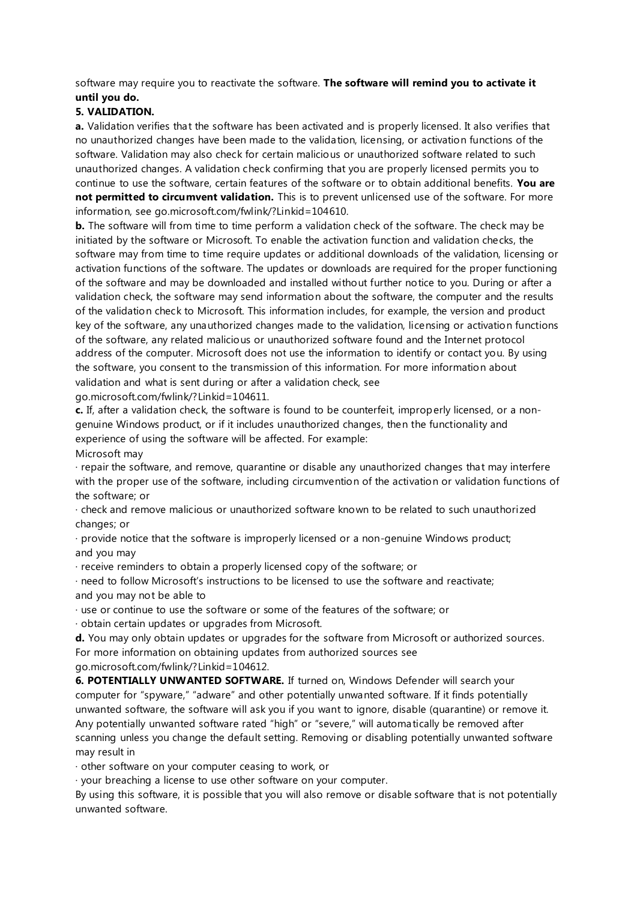software may require you to reactivate the software. **The software will remind you to activate it until you do.** 

# **5. VALIDATION.**

**a.** Validation verifies that the software has been activated and is properly licensed. It also verifies that no unauthorized changes have been made to the validation, licensing, or activation functions of the software. Validation may also check for certain malicious or unauthorized software related to such unauthorized changes. A validation check confirming that you are properly licensed permits you to continue to use the software, certain features of the software or to obtain additional benefits. **You are not permitted to circumvent validation.** This is to prevent unlicensed use of the software. For more information, see go.microsoft.com/fwlink/?Linkid=104610.

**b.** The software will from time to time perform a validation check of the software. The check may be initiated by the software or Microsoft. To enable the activation function and validation checks, the software may from time to time require updates or additional downloads of the validation, licensing or activation functions of the software. The updates or downloads are required for the proper functioning of the software and may be downloaded and installed without further notice to you. During or after a validation check, the software may send information about the software, the computer and the results of the validation check to Microsoft. This information includes, for example, the version and product key of the software, any unauthorized changes made to the validation, licensing or activation functions of the software, any related malicious or unauthorized software found and the Internet protocol address of the computer. Microsoft does not use the information to identify or contact you. By using the software, you consent to the transmission of this information. For more information about validation and what is sent during or after a validation check, see go.microsoft.com/fwlink/?Linkid=104611.

**c.** If, after a validation check, the software is found to be counterfeit, improperly licensed, or a nongenuine Windows product, or if it includes unauthorized changes, then the functionality and experience of using the software will be affected. For example:

Microsoft may

· repair the software, and remove, quarantine or disable any unauthorized changes that may interfere with the proper use of the software, including circumvention of the activation or validation functions of the software; or

· check and remove malicious or unauthorized software known to be related to such unauthorized changes; or

· provide notice that the software is improperly licensed or a non-genuine Windows product; and you may

· receive reminders to obtain a properly licensed copy of the software; or

· need to follow Microsoft's instructions to be licensed to use the software and reactivate; and you may not be able to

· use or continue to use the software or some of the features of the software; or

· obtain certain updates or upgrades from Microsoft.

**d.** You may only obtain updates or upgrades for the software from Microsoft or authorized sources. For more information on obtaining updates from authorized sources see go.microsoft.com/fwlink/?Linkid=104612.

**6. POTENTIALLY UNWANTED SOFTWARE.** If turned on, Windows Defender will search your computer for "spyware," "adware" and other potentially unwanted software. If it finds potentially unwanted software, the software will ask you if you want to ignore, disable (quarantine) or remove it. Any potentially unwanted software rated "high" or "severe," will automatically be removed after scanning unless you change the default setting. Removing or disabling potentially unwanted software may result in

· other software on your computer ceasing to work, or

· your breaching a license to use other software on your computer.

By using this software, it is possible that you will also remove or disable software that is not potentially unwanted software.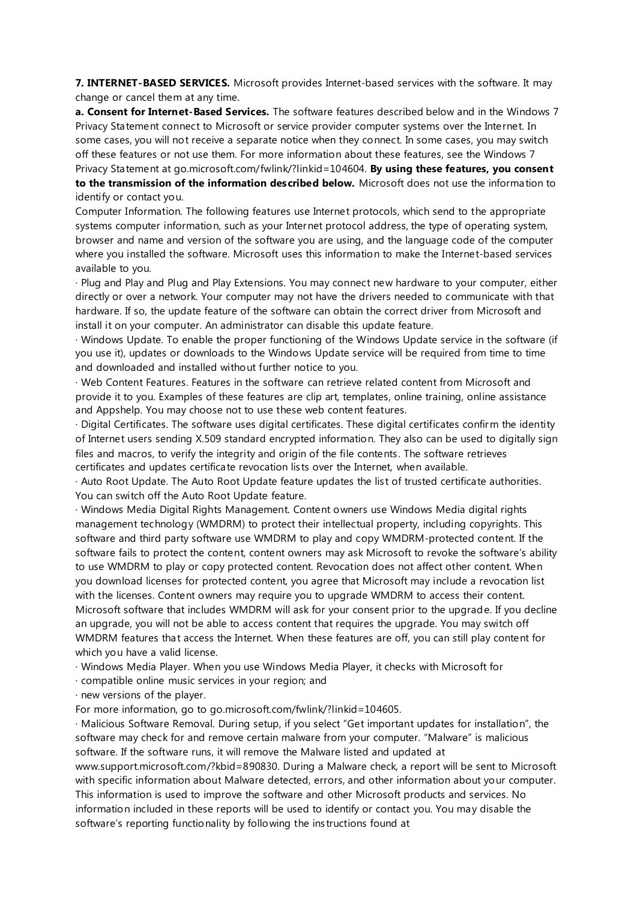**7. INTERNET-BASED SERVICES.** Microsoft provides Internet-based services with the software. It may change or cancel them at any time.

**a. Consent for Internet-Based Services.** The software features described below and in the Windows 7 Privacy Statement connect to Microsoft or service provider computer systems over the Internet. In some cases, you will not receive a separate notice when they connect. In some cases, you may switch off these features or not use them. For more information about these features, see the Windows 7 Privacy Statement at go.microsoft.com/fwlink/?linkid=104604. **By using these features, you consent to the transmission of the information described below.** Microsoft does not use the information to

identify or contact you.

Computer Information. The following features use Internet protocols, which send to the appropriate systems computer information, such as your Internet protocol address, the type of operating system, browser and name and version of the software you are using, and the language code of the computer where you installed the software. Microsoft uses this information to make the Internet-based services available to you.

· Plug and Play and Plug and Play Extensions. You may connect new hardware to your computer, either directly or over a network. Your computer may not have the drivers needed to communicate with that hardware. If so, the update feature of the software can obtain the correct driver from Microsoft and install it on your computer. An administrator can disable this update feature.

· Windows Update. To enable the proper functioning of the Windows Update service in the software (if you use it), updates or downloads to the Windows Update service will be required from time to time and downloaded and installed without further notice to you.

· Web Content Features. Features in the software can retrieve related content from Microsoft and provide it to you. Examples of these features are clip art, templates, online training, online assistance and Appshelp. You may choose not to use these web content features.

· Digital Certificates. The software uses digital certificates. These digital certificates confirm the identity of Internet users sending X.509 standard encrypted information. They also can be used to digitally sign files and macros, to verify the integrity and origin of the file contents. The software retrieves certificates and updates certificate revocation lists over the Internet, when available.

· Auto Root Update. The Auto Root Update feature updates the list of trusted certificate authorities. You can switch off the Auto Root Update feature.

· Windows Media Digital Rights Management. Content owners use Windows Media digital rights management technology (WMDRM) to protect their intellectual property, including copyrights. This software and third party software use WMDRM to play and copy WMDRM-protected content. If the software fails to protect the content, content owners may ask Microsoft to revoke the software's ability to use WMDRM to play or copy protected content. Revocation does not affect other content. When you download licenses for protected content, you agree that Microsoft may include a revocation list with the licenses. Content owners may require you to upgrade WMDRM to access their content. Microsoft software that includes WMDRM will ask for your consent prior to the upgrade. If you decline an upgrade, you will not be able to access content that requires the upgrade. You may switch off WMDRM features that access the Internet. When these features are off, you can still play content for which you have a valid license.

· Windows Media Player. When you use Windows Media Player, it checks with Microsoft for

· compatible online music services in your region; and

· new versions of the player.

For more information, go to go.microsoft.com/fwlink/?linkid=104605.

· Malicious Software Removal. During setup, if you select "Get important updates for installation", the software may check for and remove certain malware from your computer. "Malware" is malicious software. If the software runs, it will remove the Malware listed and updated at

www.support.microsoft.com/?kbid=890830. During a Malware check, a report will be sent to Microsoft with specific information about Malware detected, errors, and other information about your computer. This information is used to improve the software and other Microsoft products and services. No information included in these reports will be used to identify or contact you. You may disable the software's reporting functionality by following the instructions found at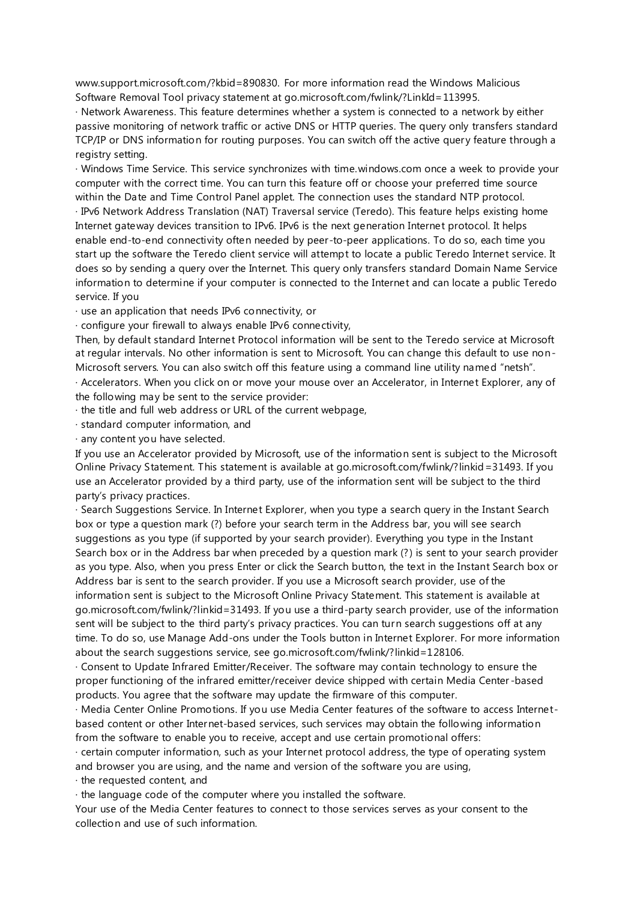www.support.microsoft.com/?kbid=890830. For more information read the Windows Malicious Software Removal Tool privacy statement at go.microsoft.com/fwlink/?LinkId=113995.

· Network Awareness. This feature determines whether a system is connected to a network by either passive monitoring of network traffic or active DNS or HTTP queries. The query only transfers standard TCP/IP or DNS information for routing purposes. You can switch off the active query feature through a registry setting.

· Windows Time Service. This service synchronizes with time.windows.com once a week to provide your computer with the correct time. You can turn this feature off or choose your preferred time source within the Date and Time Control Panel applet. The connection uses the standard NTP protocol. · IPv6 Network Address Translation (NAT) Traversal service (Teredo). This feature helps existing home Internet gateway devices transition to IPv6. IPv6 is the next generation Internet protocol. It helps enable end-to-end connectivity often needed by peer-to-peer applications. To do so, each time you start up the software the Teredo client service will attempt to locate a public Teredo Internet service. It does so by sending a query over the Internet. This query only transfers standard Domain Name Service information to determine if your computer is connected to the Internet and can locate a public Teredo service. If you

· use an application that needs IPv6 connectivity, or

· configure your firewall to always enable IPv6 connectivity,

Then, by default standard Internet Protocol information will be sent to the Teredo service at Microsoft at regular intervals. No other information is sent to Microsoft. You can change this default to use non-Microsoft servers. You can also switch off this feature using a command line utility named "netsh".

· Accelerators. When you click on or move your mouse over an Accelerator, in Internet Explorer, any of the following may be sent to the service provider:

· the title and full web address or URL of the current webpage,

· standard computer information, and

· any content you have selected.

If you use an Accelerator provided by Microsoft, use of the information sent is subject to the Microsoft Online Privacy Statement. This statement is available at go.microsoft.com/fwlink/?linkid=31493. If you use an Accelerator provided by a third party, use of the information sent will be subject to the third party's privacy practices.

· Search Suggestions Service. In Internet Explorer, when you type a search query in the Instant Search box or type a question mark (?) before your search term in the Address bar, you will see search suggestions as you type (if supported by your search provider). Everything you type in the Instant Search box or in the Address bar when preceded by a question mark (?) is sent to your search provider as you type. Also, when you press Enter or click the Search button, the text in the Instant Search box or Address bar is sent to the search provider. If you use a Microsoft search provider, use of the information sent is subject to the Microsoft Online Privacy Statement. This statement is available at go.microsoft.com/fwlink/?linkid=31493. If you use a third-party search provider, use of the information sent will be subject to the third party's privacy practices. You can turn search suggestions off at any time. To do so, use Manage Add-ons under the Tools button in Internet Explorer. For more information about the search suggestions service, see go.microsoft.com/fwlink/?linkid=128106.

· Consent to Update Infrared Emitter/Receiver. The software may contain technology to ensure the proper functioning of the infrared emitter/receiver device shipped with certain Media Center -based products. You agree that the software may update the firmware of this computer.

· Media Center Online Promotions. If you use Media Center features of the software to access Internetbased content or other Internet-based services, such services may obtain the following information from the software to enable you to receive, accept and use certain promotional offers:

· certain computer information, such as your Internet protocol address, the type of operating system and browser you are using, and the name and version of the software you are using,

· the requested content, and

· the language code of the computer where you installed the software.

Your use of the Media Center features to connect to those services serves as your consent to the collection and use of such information.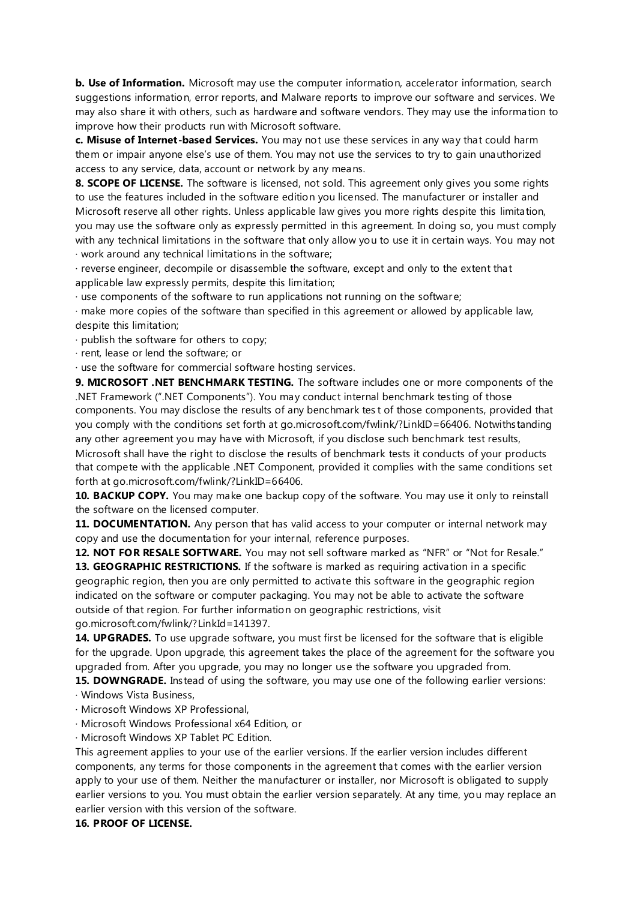**b. Use of Information.** Microsoft may use the computer information, accelerator information, search suggestions information, error reports, and Malware reports to improve our software and services. We may also share it with others, such as hardware and software vendors. They may use the information to improve how their products run with Microsoft software.

**c. Misuse of Internet-based Services.** You may not use these services in any way that could harm them or impair anyone else's use of them. You may not use the services to try to gain unauthorized access to any service, data, account or network by any means.

**8. SCOPE OF LICENSE.** The software is licensed, not sold. This agreement only gives you some rights to use the features included in the software edition you licensed. The manufacturer or installer and Microsoft reserve all other rights. Unless applicable law gives you more rights despite this limitation, you may use the software only as expressly permitted in this agreement. In doing so, you must comply with any technical limitations in the software that only allow you to use it in certain ways. You may not · work around any technical limitations in the software;

· reverse engineer, decompile or disassemble the software, except and only to the extent that applicable law expressly permits, despite this limitation;

 $\cdot$  use components of the software to run applications not running on the software;

· make more copies of the software than specified in this agreement or allowed by applicable law, despite this limitation;

· publish the software for others to copy;

· rent, lease or lend the software; or

· use the software for commercial software hosting services.

**9. MICROSOFT .NET BENCHMARK TESTING.** The software includes one or more components of the .NET Framework (".NET Components"). You may conduct internal benchmark testing of those components. You may disclose the results of any benchmark tes t of those components, provided that you comply with the conditions set forth at go.microsoft.com/fwlink/?LinkID=66406. Notwithstanding any other agreement you may have with Microsoft, if you disclose such benchmark test results, Microsoft shall have the right to disclose the results of benchmark tests it conducts of your products that compete with the applicable .NET Component, provided it complies with the same conditions set forth at go.microsoft.com/fwlink/?LinkID=66406.

10. BACKUP COPY. You may make one backup copy of the software. You may use it only to reinstall the software on the licensed computer.

**11. DOCUMENTATION.** Any person that has valid access to your computer or internal network may copy and use the documentation for your internal, reference purposes.

**12. NOT FOR RESALE SOFTWARE.** You may not sell software marked as "NFR" or "Not for Resale." 13. **GEOGRAPHIC RESTRICTIONS.** If the software is marked as requiring activation in a specific geographic region, then you are only permitted to activate this software in the geographic region indicated on the software or computer packaging. You may not be able to activate the software outside of that region. For further information on geographic restrictions, visit go.microsoft.com/fwlink/?LinkId=141397.

**14. UPGRADES.** To use upgrade software, you must first be licensed for the software that is eligible for the upgrade. Upon upgrade, this agreement takes the place of the agreement for the software you upgraded from. After you upgrade, you may no longer use the software you upgraded from.

**15. DOWNGRADE.** Instead of using the software, you may use one of the following earlier versions:

- · Windows Vista Business,
- · Microsoft Windows XP Professional,
- · Microsoft Windows Professional x64 Edition, or

· Microsoft Windows XP Tablet PC Edition.

This agreement applies to your use of the earlier versions. If the earlier version includes different components, any terms for those components in the agreement that comes with the earlier version apply to your use of them. Neither the manufacturer or installer, nor Microsoft is obligated to supply earlier versions to you. You must obtain the earlier version separately. At any time, you may replace an earlier version with this version of the software.

### **16. PROOF OF LICENSE.**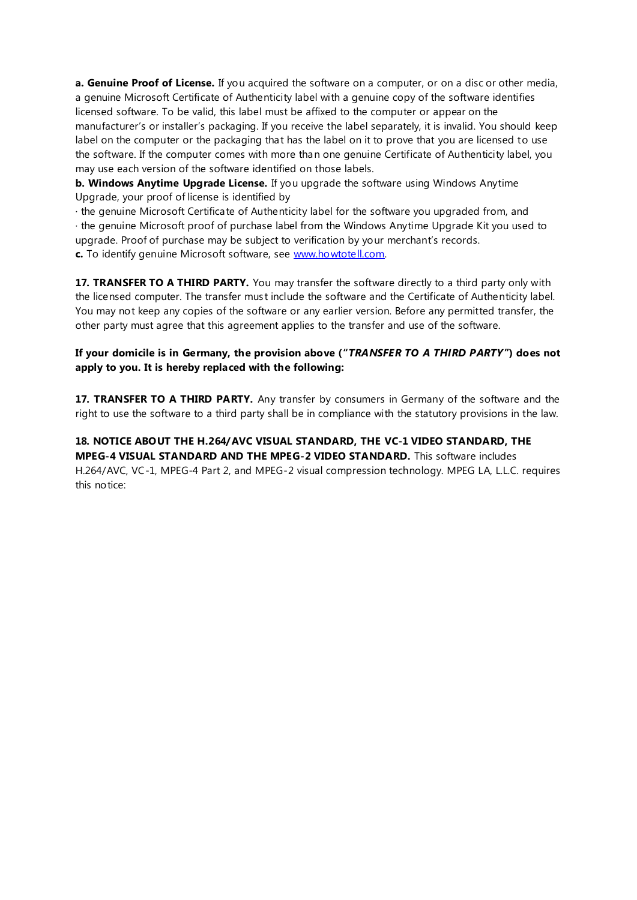**a. Genuine Proof of License.** If you acquired the software on a computer, or on a disc or other media, a genuine Microsoft Certificate of Authenticity label with a genuine copy of the software identifies licensed software. To be valid, this label must be affixed to the computer or appear on the manufacturer's or installer's packaging. If you receive the label separately, it is invalid. You should keep label on the computer or the packaging that has the label on it to prove that you are licensed to use the software. If the computer comes with more than one genuine Certificate of Authenticity label, you may use each version of the software identified on those labels.

**b. Windows Anytime Upgrade License.** If you upgrade the software using Windows Anytime Upgrade, your proof of license is identified by

· the genuine Microsoft Certificate of Authenticity label for the software you upgraded from, and · the genuine Microsoft proof of purchase label from the Windows Anytime Upgrade Kit you used to upgrade. Proof of purchase may be subject to verification by your merchant's records. **c.** To identify genuine Microsoft software, see [www.howtotell.com.](http://www.howtotell.com/) 

**17. TRANSFER TO A THIRD PARTY.** You may transfer the software directly to a third party only with the licensed computer. The transfer must include the software and the Certificate of Authenticity label. You may not keep any copies of the software or any earlier version. Before any permitted transfer, the other party must agree that this agreement applies to the transfer and use of the software.

# **If your domicile is in Germany, the provision above ("***TRANSFER TO A THIRD PARTY***") does not apply to you. It is hereby replaced with the following:**

17. TRANSFER TO A THIRD PARTY. Any transfer by consumers in Germany of the software and the right to use the software to a third party shall be in compliance with the statutory provisions in the law.

**18. NOTICE ABOUT THE H.264/AVC VISUAL STANDARD, THE VC-1 VIDEO STANDARD, THE MPEG-4 VISUAL STANDARD AND THE MPEG-2 VIDEO STANDARD.** This software includes H.264/AVC, VC-1, MPEG-4 Part 2, and MPEG-2 visual compression technology. MPEG LA, L.L.C. requires this notice: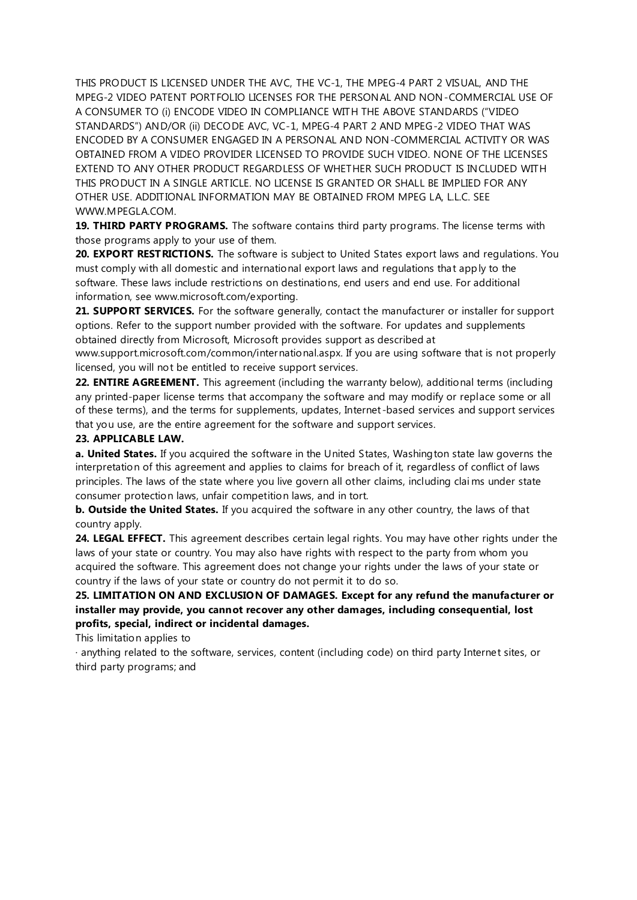THIS PRODUCT IS LICENSED UNDER THE AVC, THE VC-1, THE MPEG-4 PART 2 VISUAL, AND THE MPEG-2 VIDEO PATENT PORTFOLIO LICENSES FOR THE PERSONAL AND NON-COMMERCIAL USE OF A CONSUMER TO (i) ENCODE VIDEO IN COMPLIANCE WITH THE ABOVE STANDARDS ("VIDEO STANDARDS") AND/OR (ii) DECODE AVC, VC-1, MPEG-4 PART 2 AND MPEG-2 VIDEO THAT WAS ENCODED BY A CONSUMER ENGAGED IN A PERSONAL AND NON-COMMERCIAL ACTIVITY OR WAS OBTAINED FROM A VIDEO PROVIDER LICENSED TO PROVIDE SUCH VIDEO. NONE OF THE LICENSES EXTEND TO ANY OTHER PRODUCT REGARDLESS OF WHETHER SUCH PRODUCT IS INCLUDED WITH THIS PRODUCT IN A SINGLE ARTICLE. NO LICENSE IS GRANTED OR SHALL BE IMPLIED FOR ANY OTHER USE. ADDITIONAL INFORMATION MAY BE OBTAINED FROM MPEG LA, L.L.C. SEE WWW.MPEGLA.COM.

19. THIRD PARTY PROGRAMS. The software contains third party programs. The license terms with those programs apply to your use of them.

**20. EXPORT RESTRICTIONS.** The software is subject to United States export laws and regulations. You must comply with all domestic and international export laws and regulations that apply to the software. These laws include restrictions on destinations, end users and end use. For additional information, see www.microsoft.com/exporting.

**21. SUPPORT SERVICES.** For the software generally, contact the manufacturer or installer for support options. Refer to the support number provided with the software. For updates and supplements obtained directly from Microsoft, Microsoft provides support as described at

www.support.microsoft.com/common/international.aspx. If you are using software that is not properly licensed, you will not be entitled to receive support services.

**22. ENTIRE AGREEMENT.** This agreement (including the warranty below), additional terms (including any printed-paper license terms that accompany the software and may modify or replace some or all of these terms), and the terms for supplements, updates, Internet -based services and support services that you use, are the entire agreement for the software and support services.

### **23. APPLICABLE LAW.**

**a. United States.** If you acquired the software in the United States, Washington state law governs the interpretation of this agreement and applies to claims for breach of it, regardless of conflict of laws principles. The laws of the state where you live govern all other claims, including clai ms under state consumer protection laws, unfair competition laws, and in tort.

**b. Outside the United States.** If you acquired the software in any other country, the laws of that country apply.

**24. LEGAL EFFECT.** This agreement describes certain legal rights. You may have other rights under the laws of your state or country. You may also have rights with respect to the party from whom you acquired the software. This agreement does not change your rights under the laws of your state or country if the laws of your state or country do not permit it to do so.

# **25. LIMITATION ON AND EXCLUSION OF DAMAGES. Except for any refund the manufacturer or installer may provide, you cannot recover any other damages, including consequential, lost profits, special, indirect or incidental damages.**

This limitation applies to

· anything related to the software, services, content (including code) on third party Internet sites, or third party programs; and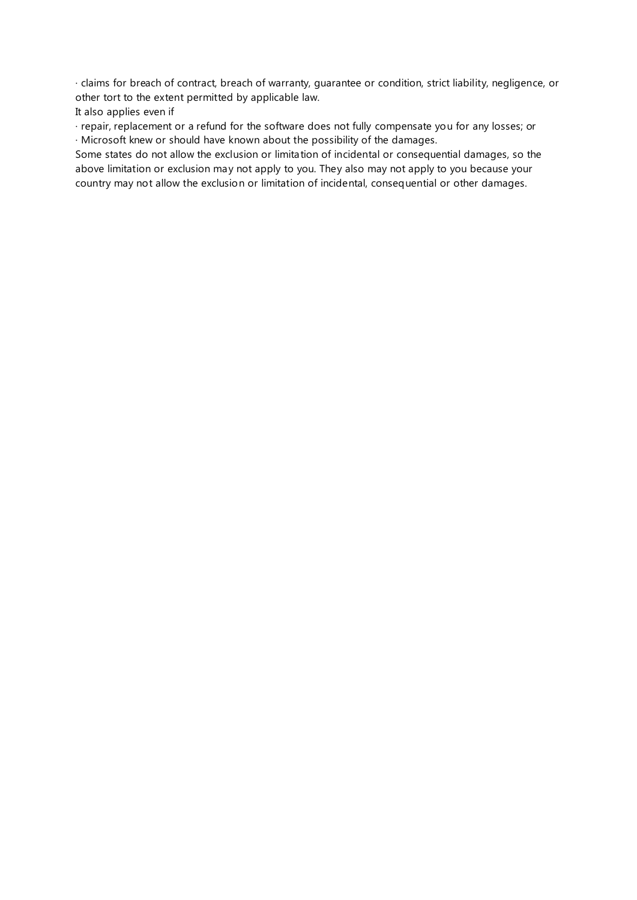· claims for breach of contract, breach of warranty, guarantee or condition, strict liability, negligence, or other tort to the extent permitted by applicable law.

It also applies even if

· repair, replacement or a refund for the software does not fully compensate you for any losses; or · Microsoft knew or should have known about the possibility of the damages.

Some states do not allow the exclusion or limitation of incidental or consequential damages, so the above limitation or exclusion may not apply to you. They also may not apply to you because your country may not allow the exclusion or limitation of incidental, consequential or other damages.